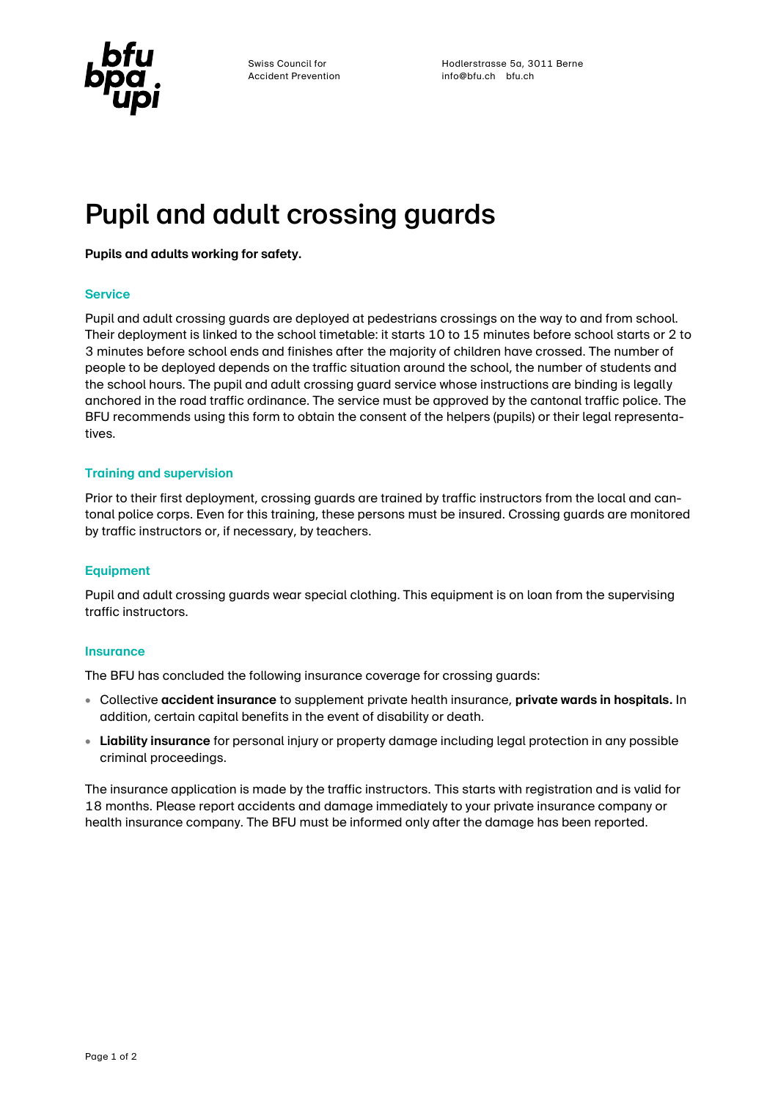

Swiss Council for **Swiss Council for Hodlerstrasse 5a**, 3011 Berne Accident Prevention info@bfu.ch bfu.ch

# Pupil and adult crossing guards

### **Pupils and adults working for safety.**

## **Service**

Pupil and adult crossing guards are deployed at pedestrians crossings on the way to and from school. Their deployment is linked to the school timetable: it starts 10 to 15 minutes before school starts or 2 to 3 minutes before school ends and finishes after the majority of children have crossed. The number of people to be deployed depends on the traffic situation around the school, the number of students and the school hours. The pupil and adult crossing guard service whose instructions are binding is legally anchored in the road traffic ordinance. The service must be approved by the cantonal traffic police. The BFU recommends using this form to obtain the consent of the helpers (pupils) or their legal representatives.

### **Training and supervision**

Prior to their first deployment, crossing guards are trained by traffic instructors from the local and cantonal police corps. Even for this training, these persons must be insured. Crossing guards are monitored by traffic instructors or, if necessary, by teachers.

### **Equipment**

Pupil and adult crossing guards wear special clothing. This equipment is on loan from the supervising traffic instructors.

### **Insurance**

The BFU has concluded the following insurance coverage for crossing guards:

- Collective **accident insurance** to supplement private health insurance, **private wards in hospitals.** In addition, certain capital benefits in the event of disability or death.
- **Liability insurance** for personal injury or property damage including legal protection in any possible criminal proceedings.

The insurance application is made by the traffic instructors. This starts with registration and is valid for 18 months. Please report accidents and damage immediately to your private insurance company or health insurance company. The BFU must be informed only after the damage has been reported.